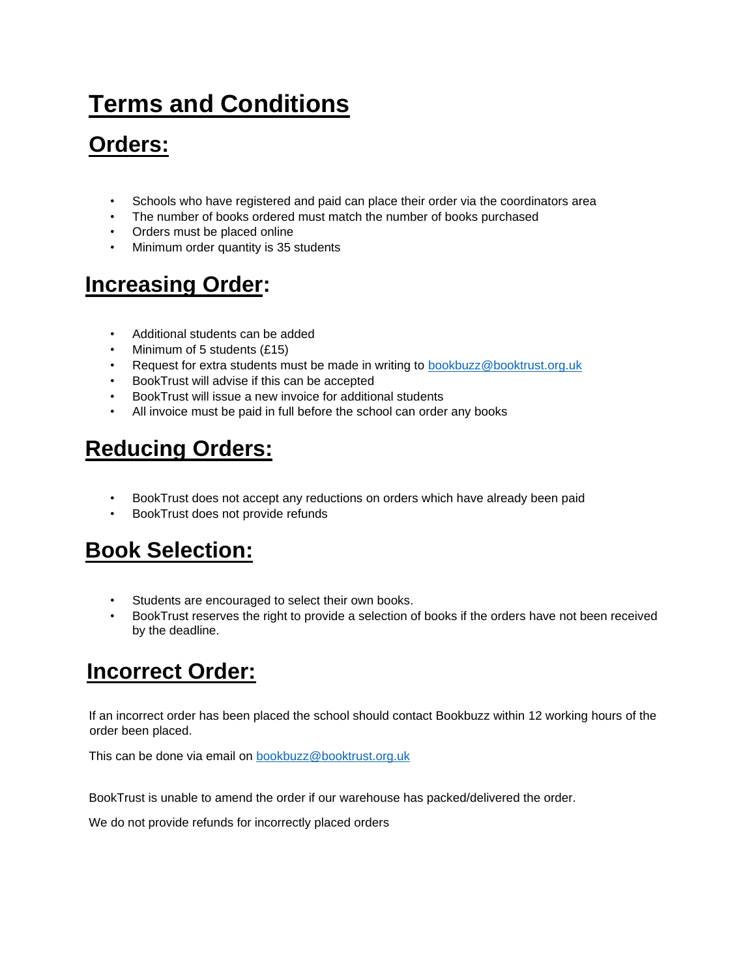# **Terms and Conditions**

# **Orders:**

- Schools who have registered and paid can place their order via the coordinators area
- The number of books ordered must match the number of books purchased
- Orders must be placed online
- Minimum order quantity is 35 students

### **Increasing Order:**

- Additional students can be added
- Minimum of 5 students (£15)
- Request for extra students must be made in writing to **bookbuzz@booktrust.org.uk**
- BookTrust will advise if this can be accepted
- BookTrust will issue a new invoice for additional students
- All invoice must be paid in full before the school can order any books

## **Reducing Orders:**

- BookTrust does not accept any reductions on orders which have already been paid
- BookTrust does not provide refunds

### **Book Selection:**

- Students are encouraged to select their own books.
- BookTrust reserves the right to provide a selection of books if the orders have not been received by the deadline.

### **Incorrect Order:**

If an incorrect order has been placed the school should contact Bookbuzz within 12 working hours of the order been placed.

This can be done via email on bookbuzz@booktrust.org.uk

BookTrust is unable to amend the order if our warehouse has packed/delivered the order.

We do not provide refunds for incorrectly placed orders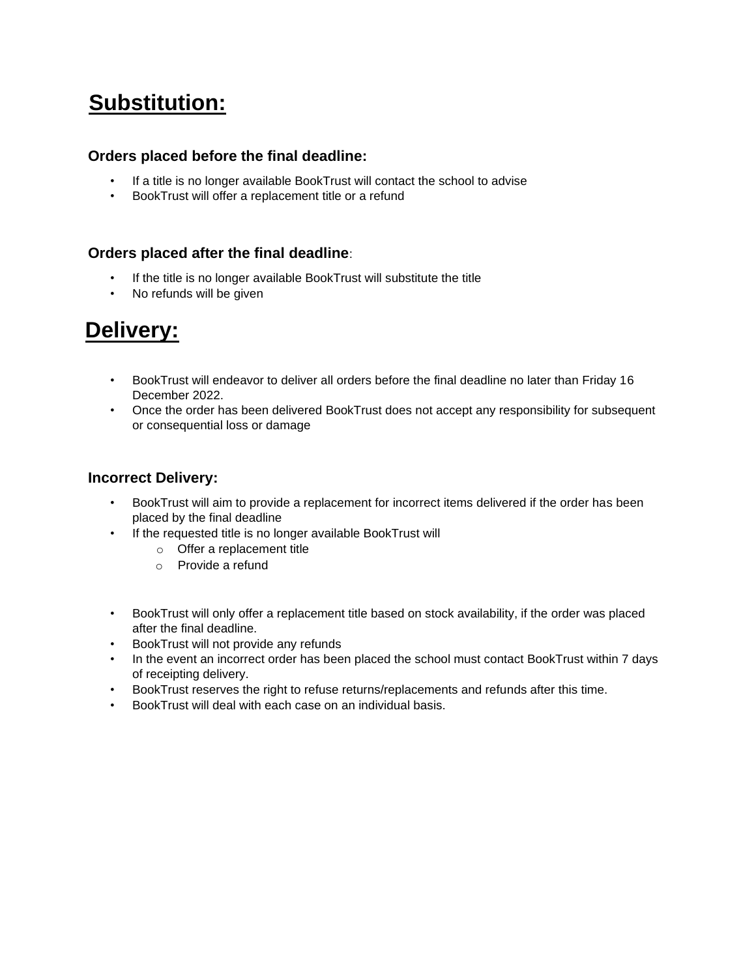## **Substitution:**

#### **Orders placed before the final deadline:**

- If a title is no longer available BookTrust will contact the school to advise
- BookTrust will offer a replacement title or a refund

#### **Orders placed after the final deadline**:

- If the title is no longer available BookTrust will substitute the title
- No refunds will be given

### **Delivery:**

- BookTrust will endeavor to deliver all orders before the final deadline no later than Friday 16 December 2022.
- Once the order has been delivered BookTrust does not accept any responsibility for subsequent or consequential loss or damage

#### **Incorrect Delivery:**

- BookTrust will aim to provide a replacement for incorrect items delivered if the order has been placed by the final deadline
- If the requested title is no longer available BookTrust will
	- o Offer a replacement title
	- o Provide a refund
- BookTrust will only offer a replacement title based on stock availability, if the order was placed after the final deadline.
- BookTrust will not provide any refunds
- In the event an incorrect order has been placed the school must contact BookTrust within 7 days of receipting delivery.
- BookTrust reserves the right to refuse returns/replacements and refunds after this time.
- BookTrust will deal with each case on an individual basis.